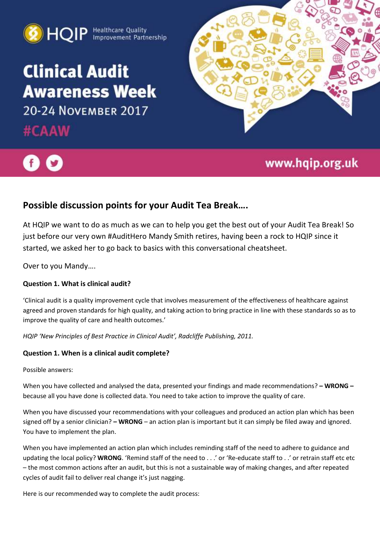

# **Clinical Audit Awareness Week** 20-24 NOVEMBER 2017

#CAAW





## www.hqip.org.uk

### **Possible discussion points for your Audit Tea Break….**

At HQIP we want to do as much as we can to help you get the best out of your Audit Tea Break! So just before our very own #AuditHero Mandy Smith retires, having been a rock to HQIP since it started, we asked her to go back to basics with this conversational cheatsheet.

Over to you Mandy….

#### **Question 1. What is clinical audit?**

'Clinical audit is a quality improvement cycle that involves measurement of the effectiveness of healthcare against agreed and proven standards for high quality, and taking action to bring practice in line with these standards so as to improve the quality of care and health outcomes.'

*HQIP 'New Principles of Best Practice in Clinical Audit', Radcliffe Publishing, 2011.*

#### **Question 1. When is a clinical audit complete?**

Possible answers:

When you have collected and analysed the data, presented your findings and made recommendations? **– WRONG –** because all you have done is collected data. You need to take action to improve the quality of care.

When you have discussed your recommendations with your colleagues and produced an action plan which has been signed off by a senior clinician? **– WRONG** – an action plan is important but it can simply be filed away and ignored. You have to implement the plan.

When you have implemented an action plan which includes reminding staff of the need to adhere to guidance and updating the local policy? **WRONG**. 'Remind staff of the need to . . .' or 'Re-educate staff to . .' or retrain staff etc etc – the most common actions after an audit, but this is not a sustainable way of making changes, and after repeated cycles of audit fail to deliver real change it's just nagging.

Here is our recommended way to complete the audit process: